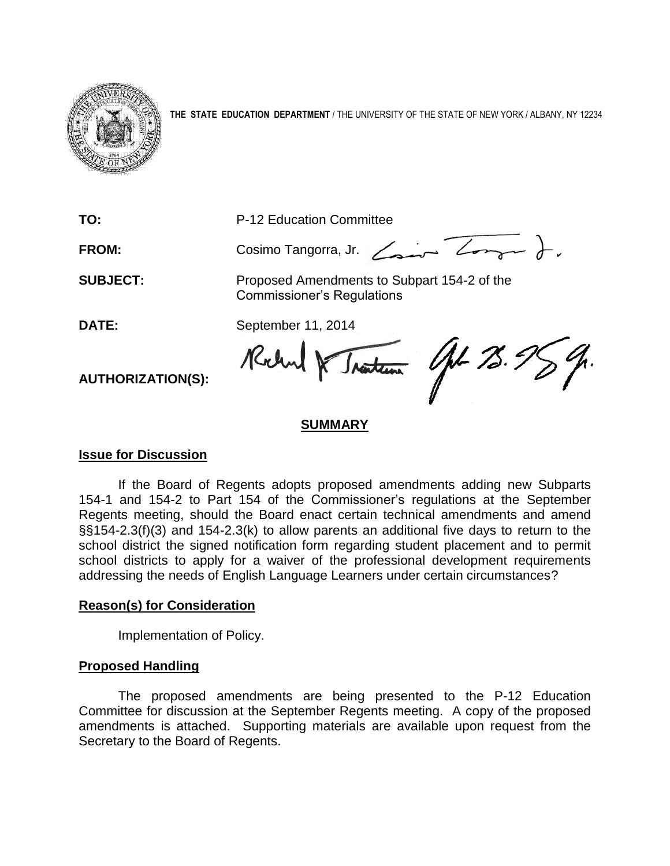

**THE STATE EDUCATION DEPARTMENT** / THE UNIVERSITY OF THE STATE OF NEW YORK / ALBANY, NY 12234

**TO:** P-12 Education Committee

FROM: Cosimo Tangorra, Jr. <u>Zaman Zong</u>am ).

**SUBJECT:** Proposed Amendments to Subpart 154-2 of the Commissioner's Regulations

**DATE:** September 11, 2014

Rochel & Traction Opt 73.95

**AUTHORIZATION(S):**

# **SUMMARY**

# **Issue for Discussion**

If the Board of Regents adopts proposed amendments adding new Subparts 154-1 and 154-2 to Part 154 of the Commissioner's regulations at the September Regents meeting, should the Board enact certain technical amendments and amend §§154-2.3(f)(3) and 154-2.3(k) to allow parents an additional five days to return to the school district the signed notification form regarding student placement and to permit school districts to apply for a waiver of the professional development requirements addressing the needs of English Language Learners under certain circumstances?

# **Reason(s) for Consideration**

Implementation of Policy.

# **Proposed Handling**

The proposed amendments are being presented to the P-12 Education Committee for discussion at the September Regents meeting. A copy of the proposed amendments is attached. Supporting materials are available upon request from the Secretary to the Board of Regents.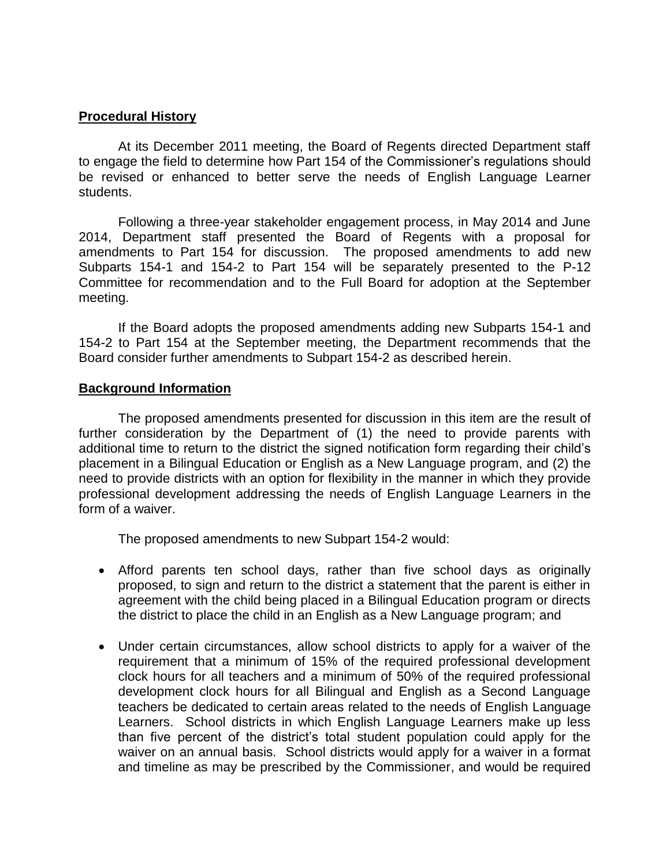### **Procedural History**

At its December 2011 meeting, the Board of Regents directed Department staff to engage the field to determine how Part 154 of the Commissioner's regulations should be revised or enhanced to better serve the needs of English Language Learner students.

Following a three-year stakeholder engagement process, in May 2014 and June 2014, Department staff presented the Board of Regents with a proposal for amendments to Part 154 for discussion. The proposed amendments to add new Subparts 154-1 and 154-2 to Part 154 will be separately presented to the P-12 Committee for recommendation and to the Full Board for adoption at the September meeting.

If the Board adopts the proposed amendments adding new Subparts 154-1 and 154-2 to Part 154 at the September meeting, the Department recommends that the Board consider further amendments to Subpart 154-2 as described herein.

#### **Background Information**

The proposed amendments presented for discussion in this item are the result of further consideration by the Department of (1) the need to provide parents with additional time to return to the district the signed notification form regarding their child's placement in a Bilingual Education or English as a New Language program, and (2) the need to provide districts with an option for flexibility in the manner in which they provide professional development addressing the needs of English Language Learners in the form of a waiver.

The proposed amendments to new Subpart 154-2 would:

- Afford parents ten school days, rather than five school days as originally proposed, to sign and return to the district a statement that the parent is either in agreement with the child being placed in a Bilingual Education program or directs the district to place the child in an English as a New Language program; and
- Under certain circumstances, allow school districts to apply for a waiver of the requirement that a minimum of 15% of the required professional development clock hours for all teachers and a minimum of 50% of the required professional development clock hours for all Bilingual and English as a Second Language teachers be dedicated to certain areas related to the needs of English Language Learners. School districts in which English Language Learners make up less than five percent of the district's total student population could apply for the waiver on an annual basis. School districts would apply for a waiver in a format and timeline as may be prescribed by the Commissioner, and would be required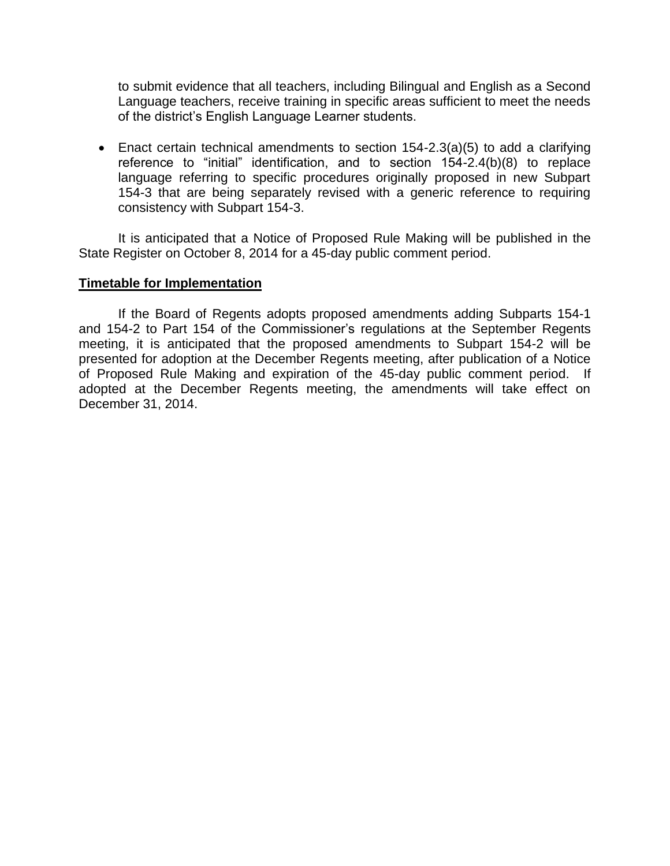to submit evidence that all teachers, including Bilingual and English as a Second Language teachers, receive training in specific areas sufficient to meet the needs of the district's English Language Learner students.

 Enact certain technical amendments to section 154-2.3(a)(5) to add a clarifying reference to "initial" identification, and to section 154-2.4(b)(8) to replace language referring to specific procedures originally proposed in new Subpart 154-3 that are being separately revised with a generic reference to requiring consistency with Subpart 154-3.

It is anticipated that a Notice of Proposed Rule Making will be published in the State Register on October 8, 2014 for a 45-day public comment period.

### **Timetable for Implementation**

If the Board of Regents adopts proposed amendments adding Subparts 154-1 and 154-2 to Part 154 of the Commissioner's regulations at the September Regents meeting, it is anticipated that the proposed amendments to Subpart 154-2 will be presented for adoption at the December Regents meeting, after publication of a Notice of Proposed Rule Making and expiration of the 45-day public comment period. If adopted at the December Regents meeting, the amendments will take effect on December 31, 2014.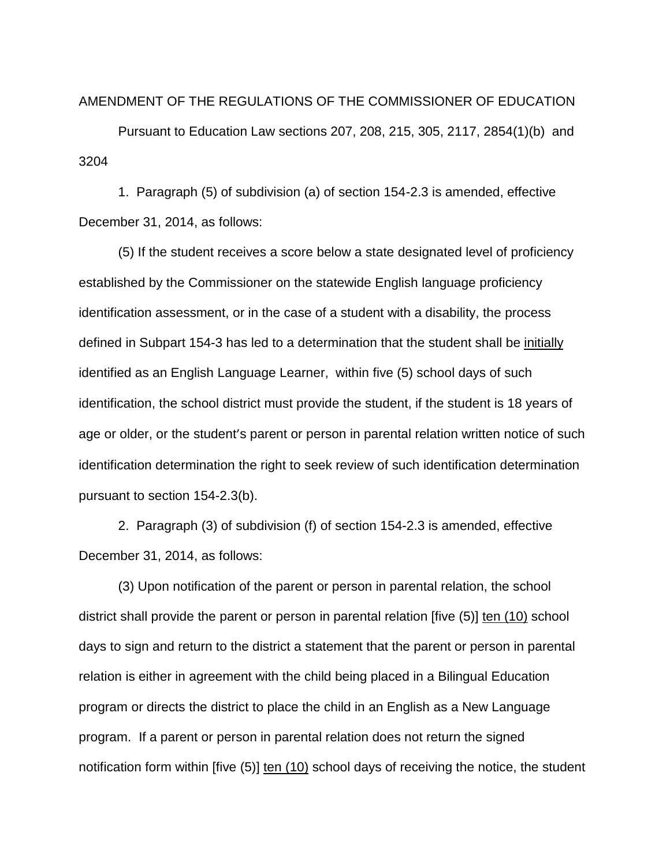#### AMENDMENT OF THE REGULATIONS OF THE COMMISSIONER OF EDUCATION

Pursuant to Education Law sections 207, 208, 215, 305, 2117, 2854(1)(b) and 3204

1. Paragraph (5) of subdivision (a) of section 154-2.3 is amended, effective December 31, 2014, as follows:

(5) If the student receives a score below a state designated level of proficiency established by the Commissioner on the statewide English language proficiency identification assessment, or in the case of a student with a disability, the process defined in Subpart 154-3 has led to a determination that the student shall be initially identified as an English Language Learner, within five (5) school days of such identification, the school district must provide the student, if the student is 18 years of age or older, or the student's parent or person in parental relation written notice of such identification determination the right to seek review of such identification determination pursuant to section 154-2.3(b).

2. Paragraph (3) of subdivision (f) of section 154-2.3 is amended, effective December 31, 2014, as follows:

(3) Upon notification of the parent or person in parental relation, the school district shall provide the parent or person in parental relation [five (5)] ten (10) school days to sign and return to the district a statement that the parent or person in parental relation is either in agreement with the child being placed in a Bilingual Education program or directs the district to place the child in an English as a New Language program. If a parent or person in parental relation does not return the signed notification form within [five (5)] ten (10) school days of receiving the notice, the student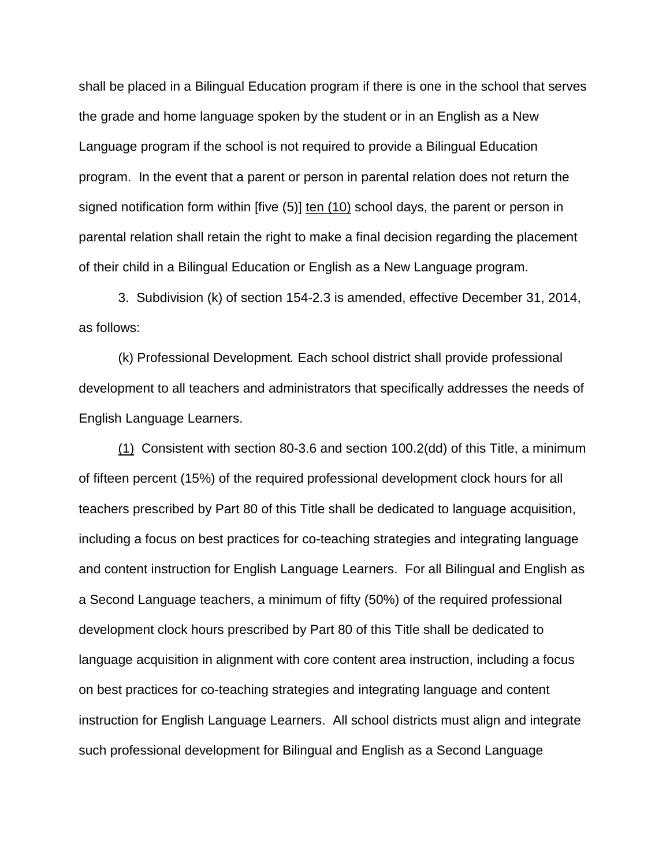shall be placed in a Bilingual Education program if there is one in the school that serves the grade and home language spoken by the student or in an English as a New Language program if the school is not required to provide a Bilingual Education program. In the event that a parent or person in parental relation does not return the signed notification form within [five (5)] ten (10) school days, the parent or person in parental relation shall retain the right to make a final decision regarding the placement of their child in a Bilingual Education or English as a New Language program.

3. Subdivision (k) of section 154-2.3 is amended, effective December 31, 2014, as follows:

(k) Professional Development*.* Each school district shall provide professional development to all teachers and administrators that specifically addresses the needs of English Language Learners.

(1) Consistent with section 80-3.6 and section 100.2(dd) of this Title, a minimum of fifteen percent (15%) of the required professional development clock hours for all teachers prescribed by Part 80 of this Title shall be dedicated to language acquisition, including a focus on best practices for co-teaching strategies and integrating language and content instruction for English Language Learners. For all Bilingual and English as a Second Language teachers, a minimum of fifty (50%) of the required professional development clock hours prescribed by Part 80 of this Title shall be dedicated to language acquisition in alignment with core content area instruction, including a focus on best practices for co-teaching strategies and integrating language and content instruction for English Language Learners. All school districts must align and integrate such professional development for Bilingual and English as a Second Language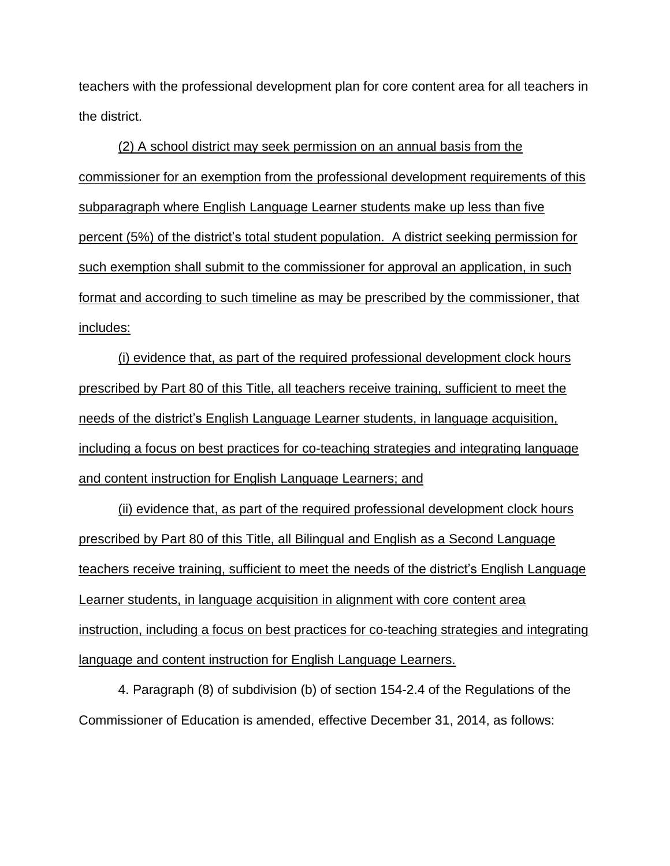teachers with the professional development plan for core content area for all teachers in the district.

(2) A school district may seek permission on an annual basis from the commissioner for an exemption from the professional development requirements of this subparagraph where English Language Learner students make up less than five percent (5%) of the district's total student population. A district seeking permission for such exemption shall submit to the commissioner for approval an application, in such format and according to such timeline as may be prescribed by the commissioner, that includes:

(i) evidence that, as part of the required professional development clock hours prescribed by Part 80 of this Title, all teachers receive training, sufficient to meet the needs of the district's English Language Learner students, in language acquisition, including a focus on best practices for co-teaching strategies and integrating language and content instruction for English Language Learners; and

(ii) evidence that, as part of the required professional development clock hours prescribed by Part 80 of this Title, all Bilingual and English as a Second Language teachers receive training, sufficient to meet the needs of the district's English Language Learner students, in language acquisition in alignment with core content area instruction, including a focus on best practices for co-teaching strategies and integrating language and content instruction for English Language Learners.

4. Paragraph (8) of subdivision (b) of section 154-2.4 of the Regulations of the Commissioner of Education is amended, effective December 31, 2014, as follows: